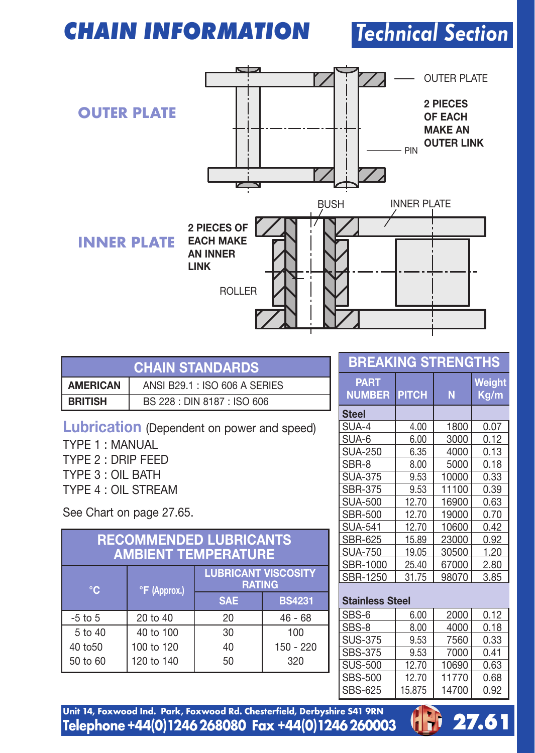## **CHAIN INFORMATION**

# Technical Section



| <b>CHAIN STANDARDS</b> |                               |  |
|------------------------|-------------------------------|--|
| <b>AMERICAN</b>        | ANSI B29.1 : ISO 606 A SERIES |  |
| i british              | BS 228 : DIN 8187 : ISO 606   |  |

**Lubrication** (Dependent on power and speed) TYPE 1 : MANUAL

TYPE 2 : DRIP FEED TYPE 3 : OIL BATH TYPE 4 : OIL STREAM

See Chart on page 27.65.

| <b>RECOMMENDED LUBRICANTS</b><br><b>AMBIENT TEMPERATURE</b>                   |            |            |               |  |
|-------------------------------------------------------------------------------|------------|------------|---------------|--|
| <b>LUBRICANT VISCOSITY</b><br><b>RATING</b><br>۰c<br><sup>o</sup> F (Approx.) |            |            |               |  |
|                                                                               |            | <b>SAE</b> | <b>BS4231</b> |  |
| $-5$ to $5$                                                                   | 20 to 40   | 20         | $46 - 68$     |  |
| 5 to 40                                                                       | 40 to 100  | 30         | 100           |  |
| 40 to 50                                                                      | 100 to 120 | 40         | 150 - 220     |  |
| 50 to 60                                                                      | 120 to 140 | 50         | 320           |  |

## **BREAKING STRENGTHS**

| <b>PART</b><br><b>NUMBER</b> | <b>PITCH</b> | N     | Weight<br>Kq/m |
|------------------------------|--------------|-------|----------------|
| <b>Steel</b>                 |              |       |                |
| SUA-4                        | 4.00         | 1800  | 0.07           |
| SUA-6                        | 6.00         | 3000  | 0.12           |
| <b>SUA-250</b>               | 6.35         | 4000  | 0.13           |
| SBR-8                        | 8.00         | 5000  | 0.18           |
| <b>SUA-375</b>               | 9.53         | 10000 | 0.33           |
| <b>SBR-375</b>               | 9.53         | 11100 | 0.39           |
| <b>SUA-500</b>               | 12.70        | 16900 | 0.63           |
| <b>SBR-500</b>               | 12.70        | 19000 | 0.70           |
| <b>SUA-541</b>               | 12.70        | 10600 | 0.42           |
| SBR-625                      | 15.89        | 23000 | 0.92           |
| <b>SUA-750</b>               | 19.05        | 30500 | 1.20           |
| SBR-1000                     | 25.40        | 67000 | 2.80           |
| SBR-1250                     | 31.75        | 98070 | 3.85           |

#### **Stainless Steel**

| SBS-6          | 6.00   | 2000  | 0.12 |
|----------------|--------|-------|------|
| SBS-8          | 8.00   | 4000  | 0.18 |
| SUS-375        | 9.53   | 7560  | 0.33 |
| <b>SBS-375</b> | 9.53   | 7000  | 0.41 |
| SUS-500        | 12.70  | 10690 | 0.63 |
| <b>SBS-500</b> | 12.70  | 11770 | 0.68 |
| <b>SBS-625</b> | 15.875 | 14700 | 0.92 |



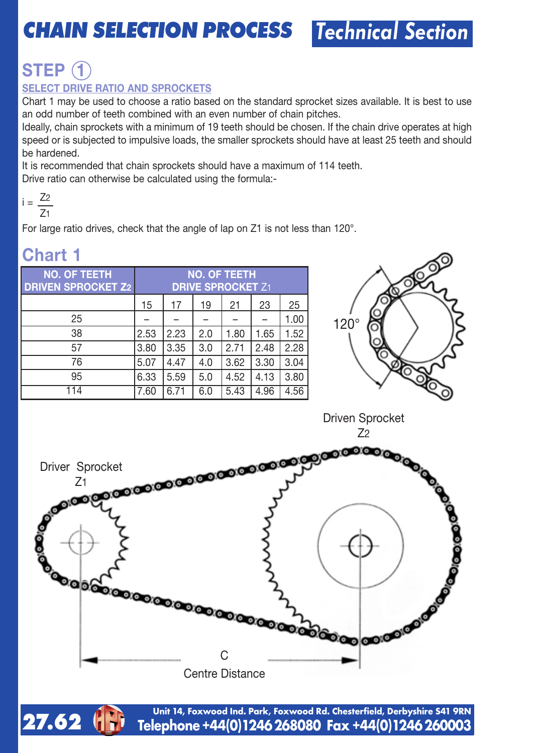# **CHAIN SELECTION PROCESS** Technical Section

# **STEP 1**

### **SELECT DRIVE RATIO AND SPROCKETS**

Chart 1 may be used to choose a ratio based on the standard sprocket sizes available. It is best to use an odd number of teeth combined with an even number of chain pitches.

Ideally, chain sprockets with a minimum of 19 teeth should be chosen. If the chain drive operates at high speed or is subjected to impulsive loads, the smaller sprockets should have at least 25 teeth and should be hardened.

It is recommended that chain sprockets should have a maximum of 114 teeth.

Drive ratio can otherwise be calculated using the formula:-

$$
i = \frac{Z_2}{Z_1}
$$

For large ratio drives, check that the angle of lap on Z1 is not less than 120°.

| <b>NO. OF TEETH</b><br><b>DRIVEN SPROCKET Z2</b> | <b>NO. OF TEETH</b><br><b>DRIVE SPROCKET Z1</b> |      |     |      |      |      |
|--------------------------------------------------|-------------------------------------------------|------|-----|------|------|------|
|                                                  | 15                                              | 17   | 19  | 21   | 23   | 25   |
| 25                                               |                                                 |      |     |      |      | 1.00 |
| 38                                               | 2.53                                            | 2.23 | 2.0 | 1.80 | 1.65 | 1.52 |
| 57                                               | 3.80                                            | 3.35 | 3.0 | 2.71 | 2.48 | 2.28 |
| 76                                               | 5.07                                            | 4.47 | 4.0 | 3.62 | 3.30 | 3.04 |
| 95                                               | 6.33                                            | 5.59 | 5.0 | 4.52 | 4.13 | 3.80 |
| 114                                              | 7.60                                            | 6.71 | 6.0 | 5.43 | 4.96 | 4.56 |

## **Chart 1**



Driven Sprocket 72





**Telephone+44(0)1246268080 Fax +44(0)1246260003 Unit 14, Foxwood Ind. Park, Foxwood Rd. Chesterfield, Derbyshire S41 9RN**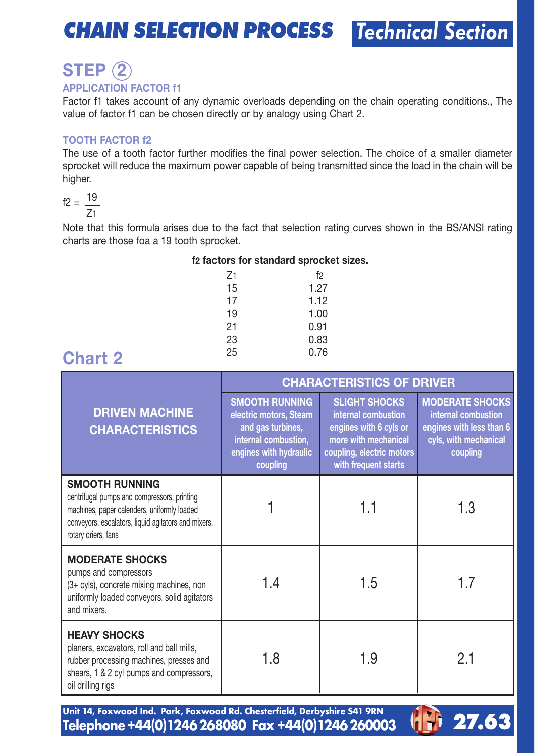## **CHAIN SELECTION PROCESS**

Technical Section

# **STEP 2**

### **APPLICATION FACTOR f1**

Factor f1 takes account of any dynamic overloads depending on the chain operating conditions., The value of factor f1 can be chosen directly or by analogy using Chart 2.

#### **TOOTH FACTOR f2**

The use of a tooth factor further modifies the final power selection. The choice of a smaller diameter sprocket will reduce the maximum power capable of being transmitted since the load in the chain will be higher.

$$
f2 = \frac{19}{Z1}
$$

Note that this formula arises due to the fact that selection rating curves shown in the BS/ANSI rating charts are those foa a 19 tooth sprocket.

| f2 factors for standard sprocket sizes. |  |  |  |  |  |  |
|-----------------------------------------|--|--|--|--|--|--|
|-----------------------------------------|--|--|--|--|--|--|

| $Z_1$ | f2   |
|-------|------|
| 15    | 1.27 |
| 17    | 1.12 |
| 19    | 1.00 |
| 21    | 0.91 |
| 23    | 0.83 |
| 25    | 0.76 |

## <sup>25</sup> 0.76 **Chart 2**

|                                                                                                                                                                                            |                                                                                                                                    | <b>CHARACTERISTICS OF DRIVER</b>                                                                                                                   |                                                                                                                |
|--------------------------------------------------------------------------------------------------------------------------------------------------------------------------------------------|------------------------------------------------------------------------------------------------------------------------------------|----------------------------------------------------------------------------------------------------------------------------------------------------|----------------------------------------------------------------------------------------------------------------|
| <b>DRIVEN MACHINE</b><br><b>CHARACTERISTICS</b>                                                                                                                                            | <b>SMOOTH RUNNING</b><br>electric motors, Steam<br>and gas turbines,<br>internal combustion,<br>engines with hydraulic<br>coupling | <b>SLIGHT SHOCKS</b><br>internal combustion<br>engines with 6 cyls or<br>more with mechanical<br>coupling, electric motors<br>with frequent starts | <b>MODERATE SHOCKS</b><br>internal combustion<br>engines with less than 6<br>cyls, with mechanical<br>coupling |
| SMOOTH RUNNING<br>centrifugal pumps and compressors, printing<br>machines, paper calenders, uniformly loaded<br>conveyors, escalators, liquid agitators and mixers,<br>rotary driers, fans |                                                                                                                                    | 1.1                                                                                                                                                | 1.3                                                                                                            |
| <b>MODERATE SHOCKS</b><br>pumps and compressors<br>(3+ cyls), concrete mixing machines, non<br>uniformly loaded conveyors, solid agitators<br>and mixers                                   | 1.4                                                                                                                                | 1.5                                                                                                                                                | 1.7                                                                                                            |
| <b>HEAVY SHOCKS</b><br>planers, excavators, roll and ball mills,<br>rubber processing machines, presses and<br>shears, 1 & 2 cyl pumps and compressors,<br>oil drilling rigs               | 1.8                                                                                                                                | 1.9                                                                                                                                                | 2.1                                                                                                            |

Unit 14, Foxwood Ind. Park, Foxwood Rd. Chesterfield, Derbyshire 541 9RN<br>Telephone +44(0)1246 268080 Fax +44(0)1246 260003

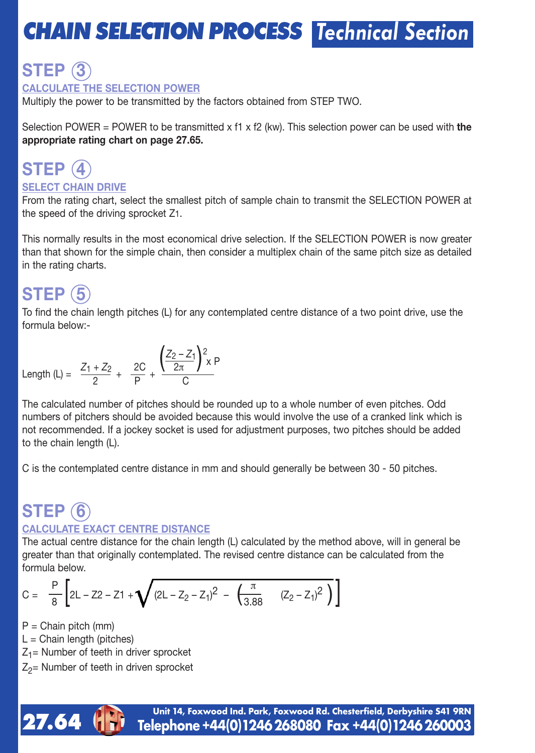# **CHAIN SELECTION PROCESS** Technical Section

### **STEP 3 CALCULATE THE SELECTION POWER**

Multiply the power to be transmitted by the factors obtained from STEP TWO.

Selection POWER = POWER to be transmitted x f1 x f2 (kw). This selection power can be used with **the appropriate rating chart on page 27.65.**

## **STEP 4 SELECT CHAIN DRIVE**

From the rating chart, select the smallest pitch of sample chain to transmit the SELECTION POWER at the speed of the driving sprocket Z1.

This normally results in the most economical drive selection. If the SELECTION POWER is now greater than that shown for the simple chain, then consider a multiplex chain of the same pitch size as detailed in the rating charts.

## **STEP 5**

To find the chain length pitches (L) for any contemplated centre distance of a two point drive, use the formula below:-

Length (L) = 
$$
\frac{Z_1 + Z_2}{2} + \frac{2C}{P} + \frac{\left(\frac{Z_2 - Z_1}{2\pi}\right)^2 x P}{C}
$$

The calculated number of pitches should be rounded up to a whole number of even pitches. Odd numbers of pitchers should be avoided because this would involve the use of a cranked link which is not recommended. If a jockey socket is used for adjustment purposes, two pitches should be added to the chain length (L).

C is the contemplated centre distance in mm and should generally be between 30 - 50 pitches.

## **STEP 6 CALCULATE EXACT CENTRE DISTANCE**

The actual centre distance for the chain length (L) calculated by the method above, will in general be greater than that originally contemplated. The revised centre distance can be calculated from the formula below.

$$
C = \frac{P}{8} \left[ 2L - Z^2 - Z^1 + \sqrt{(2L - Z_2 - Z_1)^2 - \left( \frac{\pi}{3.88} - (Z_2 - Z_1)^2 \right)} \right]
$$

 $P =$  Chain pitch (mm)

 $L =$  Chain length (pitches)

- $Z_1$ = Number of teeth in driver sprocket
- $Z_2$ = Number of teeth in driven sprocket

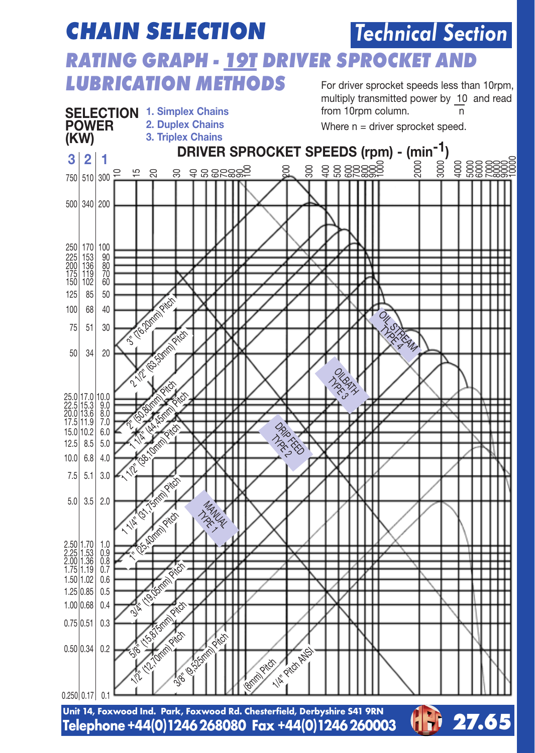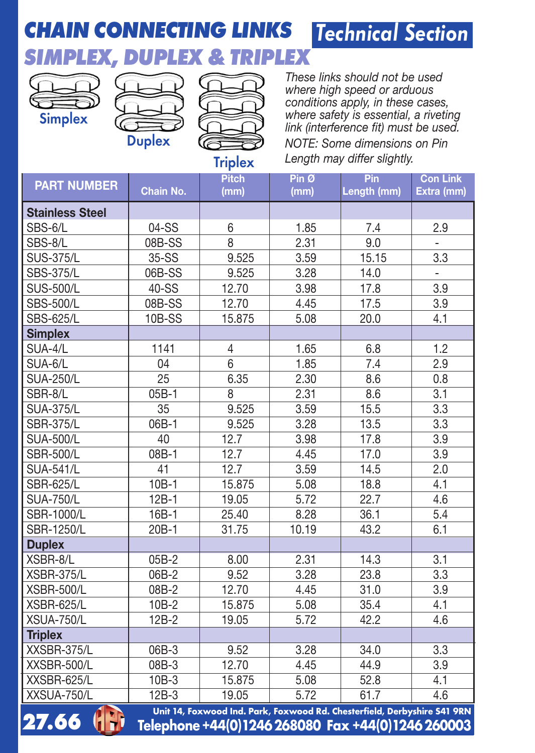## **CHAIN CONNECTING LINKS SIMPLEX, DUPLEX & TRIPLEX** Technical Section



**27.66**

- 11



*These links should not be used where high speed or arduous conditions apply, in these cases, where safety is essential, a riveting link (interference fit) must be used. NOTE: Some dimensions on Pin Length may differ slightly.*

**Triplex** 

| <b>PART NUMBER</b>     | Chain No. | <b>Pitch</b><br>(mm) | Pin <sub>0</sub><br>(mm) | Pin<br>Length (mm)                                                       | <b>Con Link</b><br>Extra (mm) |
|------------------------|-----------|----------------------|--------------------------|--------------------------------------------------------------------------|-------------------------------|
| <b>Stainless Steel</b> |           |                      |                          |                                                                          |                               |
| SBS-6/L                | 04-SS     | 6                    | 1.85                     | 7.4                                                                      | 2.9                           |
| SBS-8/L                | 08B-SS    | 8                    | 2.31                     | 9.0                                                                      |                               |
| <b>SUS-375/L</b>       | 35-SS     | 9.525                | 3.59                     | 15.15                                                                    | 3.3                           |
| <b>SBS-375/L</b>       | 06B-SS    | 9.525                | 3.28                     | 14.0                                                                     | $\overline{\phantom{m}}$      |
| <b>SUS-500/L</b>       | 40-SS     | 12.70                | 3.98                     | 17.8                                                                     | 3.9                           |
| <b>SBS-500/L</b>       | 08B-SS    | 12.70                | 4.45                     | 17.5                                                                     | 3.9                           |
| <b>SBS-625/L</b>       | 10B-SS    | 15.875               | 5.08                     | 20.0                                                                     | 4.1                           |
| <b>Simplex</b>         |           |                      |                          |                                                                          |                               |
| SUA-4/L                | 1141      | 4                    | 1.65                     | 6.8                                                                      | 1.2                           |
| SUA-6/L                | 04        | 6                    | 1.85                     | 7.4                                                                      | 2.9                           |
| <b>SUA-250/L</b>       | 25        | 6.35                 | 2.30                     | 8.6                                                                      | 0.8                           |
| SBR-8/L                | $05B-1$   | 8                    | 2.31                     | 8.6                                                                      | 3.1                           |
| <b>SUA-375/L</b>       | 35        | 9.525                | 3.59                     | 15.5                                                                     | 3.3                           |
| <b>SBR-375/L</b>       | 06B-1     | 9.525                | 3.28                     | 13.5                                                                     | 3.3                           |
| <b>SUA-500/L</b>       | 40        | 12.7                 | 3.98                     | 17.8                                                                     | 3.9                           |
| <b>SBR-500/L</b>       | $08B-1$   | 12.7                 | 4.45                     | 17.0                                                                     | 3.9                           |
| <b>SUA-541/L</b>       | 41        | 12.7                 | 3.59                     | 14.5                                                                     | 2.0                           |
| <b>SBR-625/L</b>       | $10B-1$   | 15.875               | 5.08                     | 18.8                                                                     | 4.1                           |
| <b>SUA-750/L</b>       | $12B-1$   | 19.05                | 5.72                     | 22.7                                                                     | 4.6                           |
| SBR-1000/L             | 16B-1     | 25.40                | 8.28                     | 36.1                                                                     | 5.4                           |
| SBR-1250/L             | 20B-1     | 31.75                | 10.19                    | 43.2                                                                     | 6.1                           |
| <b>Duplex</b>          |           |                      |                          |                                                                          |                               |
| XSBR-8/L               | $05B-2$   | 8.00                 | 2.31                     | 14.3                                                                     | 3.1                           |
| XSBR-375/L             | 06B-2     | 9.52                 | 3.28                     | 23.8                                                                     | 3.3                           |
| XSBR-500/L             | 08B-2     | 12.70                | 4.45                     | 31.0                                                                     | 3.9                           |
| XSBR-625/L             | 10B-2     | 15.875               | 5.08                     | 35.4                                                                     | 4.1                           |
| XSUA-750/L             | $12B-2$   | 19.05                | 5.72                     | 42.2                                                                     | 4.6                           |
| <b>Triplex</b>         |           |                      |                          |                                                                          |                               |
| XXSBR-375/L            | 06B-3     | 9.52                 | 3.28                     | 34.0                                                                     | 3.3                           |
| XXSBR-500/L            | 08B-3     | 12.70                | 4.45                     | 44.9                                                                     | 3.9                           |
| XXSBR-625/L            | $10B-3$   | 15.875               | 5.08                     | 52.8                                                                     | 4.1                           |
| XXSUA-750/L            | $12B-3$   | 19.05                | 5.72                     | 61.7                                                                     | 4.6                           |
| $\sqrt{2}$<br>-- - -   |           |                      |                          | Unit 14, Foxwood Ind. Park, Foxwood Rd. Chesterfield, Derbyshire S41 9RN |                               |

 $Telephone +44(0)1246268080$  **Fax**  $+44(0)1246260003$